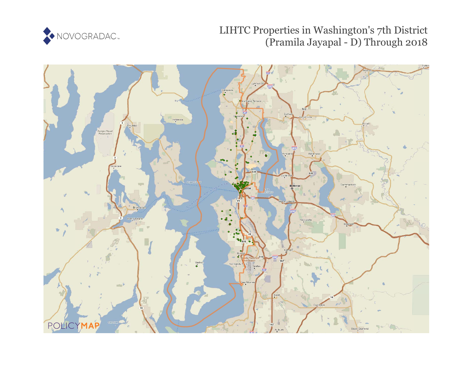

# LIHTC Properties in Washington's 7th District (Pramila Jayapal - D) Through 2018

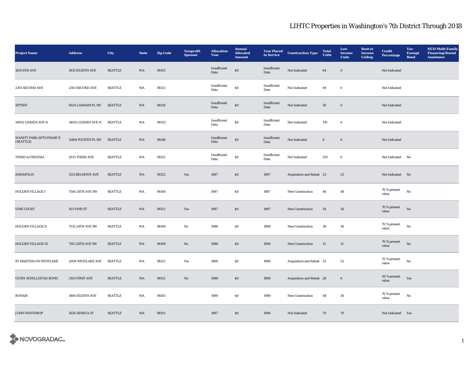| <b>Project Name</b>                    | <b>Address</b>     | City           | <b>State</b> | <b>Zip Code</b> | Nonprofit<br><b>Sponsor</b> | <b>Allocation</b><br>Year | <b>Annual</b><br><b>Allocated</b><br><b>Amount</b> | <b>Year Placed</b><br>in Service | <b>Construction Type</b> | <b>Total</b><br><b>Units</b> | Low<br>Income<br><b>Units</b> | <b>Rent or</b><br><b>Income</b><br><b>Ceiling</b> | <b>Credit</b><br><b>Percentage</b> | Tax-<br><b>Exempt</b><br><b>Bond</b> | <b>HUD Multi-Family</b><br><b>Financing/Rental</b><br><b>Assistance</b> |
|----------------------------------------|--------------------|----------------|--------------|-----------------|-----------------------------|---------------------------|----------------------------------------------------|----------------------------------|--------------------------|------------------------------|-------------------------------|---------------------------------------------------|------------------------------------|--------------------------------------|-------------------------------------------------------------------------|
| 1835 8TH AVE                           | 1835 EIGHTH AVE    | <b>SEATTLE</b> | WA           | 98101           |                             | Insufficient<br>Data      | $\$0$                                              | Insufficient<br>Data             | Not Indicated            | 64                           | $\mathbf 0$                   |                                                   | Not Indicated                      |                                      |                                                                         |
| 2301 SECOND AVE                        | 2301 SECOND AVE    | <b>SEATTLE</b> | WA           | 98121           |                             | Insufficient<br>Data      | $\$0$                                              | Insufficient<br>Data             | Not Indicated            | 49                           | $\bf{0}$                      |                                                   | Not Indicated                      |                                      |                                                                         |
| <b>APTSNT</b>                          | 6025 LANHAM PL SW  | <b>SEATTLE</b> | WA           | 98126           |                             | Insufficient<br>Data      | $\$0$                                              | Insufficient<br>Data             | Not Indicated            | 58                           | $\mathbf 0$                   |                                                   | Not Indicated                      |                                      |                                                                         |
| 14002 LINDEN AVE N                     | 14002 LINDEN AVE N | SEATTLE        | WA           | 98133           |                             | Insufficient<br>Data      | $\bf{S0}$                                          | Insufficient<br>Data             | Not Indicated            | 176                          | $\bf{0}$                      |                                                   | Not Indicated                      |                                      |                                                                         |
| WANITY PARK APTS PHASE II<br>(SEATTLE) | 11464 FOURTH PL SW | <b>SEATTLE</b> | WA           | 98146           |                             | Insufficient<br>Data      | $\bf{S0}$                                          | Insufficient<br>Data             | Not Indicated            | $\bf8$                       | $\mathbf 0$                   |                                                   | Not Indicated                      |                                      |                                                                         |
| THIRD & VIRGINIA                       | 2013 THIRD AVE     | <b>SEATTLE</b> | WA           | 98121           |                             | Insufficient<br>Data      | ${\bf S0}$                                         | Insufficient<br>Data             | Not Indicated            | 129                          | $\bf{0}$                      |                                                   | Not Indicated                      | No                                   |                                                                         |
| <b>ANNAPOLIS</b>                       | 1531 BELMONT AVE   | <b>SEATTLE</b> | WA           | 98122           | Yes                         | 1987                      | $\boldsymbol{\mathsf{S}}\boldsymbol{\mathsf{O}}$   | 1987                             | Acquisition and Rehab 23 |                              | 23                            |                                                   | Not Indicated No                   |                                      |                                                                         |
| HOLDEN VILLAGE I                       | 7544 24TH AVE SW   | <b>SEATTLE</b> | WA           | 98106           |                             | 1987                      | \$0\$                                              | 1987                             | New Construction         | 48                           | 48                            |                                                   | 70 % present<br>value              | $_{\rm No}$                          |                                                                         |
| <b>VINE COURT</b>                      | 103 VINE ST        | <b>SEATTLE</b> | WA           | 98121           | Yes                         | 1987                      | \$0\$                                              | 1987                             | New Construction         | 54                           | ${\bf 54}$                    |                                                   | 70 % present<br>value              | No                                   |                                                                         |
| HOLDEN VILLAGE II                      | 7535 24TH AVE SW   | <b>SEATTLE</b> | WA           | 98106           | No                          | 1988                      | $\$0$                                              | 1988                             | New Construction         | 36                           | 36                            |                                                   | 70 % present<br>value              | No                                   |                                                                         |
| HOLDEN VILLAGE III                     | 7501 24TH AVE SW   | <b>SEATTLE</b> | WA           | 98106           | $\mathbf{N}\mathbf{o}$      | 1988                      | $\boldsymbol{\mathsf{S}}\boldsymbol{\mathsf{0}}$   | 1988                             | New Construction         | 12                           | 12                            |                                                   | 70 % present<br>value              | $_{\rm No}$                          |                                                                         |
| ST MARTINS ON WESTLAKE                 | 2008 WESTLAKE AVE  | <b>SEATTLE</b> | WA           | 98121           | Yes                         | 1988                      | $\$0$                                              | 1988                             | Acquisition and Rehab 53 |                              | 53                            |                                                   | 70 % present<br>value              | No                                   |                                                                         |
| GUIRY-SCHILLISTAD-BOND                 | 2105 FIRST AVE     | <b>SEATTLE</b> | WA           | 98121           | No                          | 1988                      | $\$0$                                              | 1988                             | Acquisition and Rehab 28 |                              | $\bf 6$                       |                                                   | 30 % present<br>value              | Yes                                  |                                                                         |
| <b>BONAIR</b>                          | 1806 EIGHTH AVE    | <b>SEATTLE</b> | WA           | 98101           |                             | 1989                      | $\$0$                                              | 1989                             | <b>New Construction</b>  | 48                           | $30\,$                        |                                                   | 70 % present<br>value              | No                                   |                                                                         |
| <b>JOHN WINTHROP</b>                   | 1020 SENECA ST     | <b>SEATTLE</b> | WA           | 98101           |                             | 1987                      | S <sub>0</sub>                                     | 1989                             | Not Indicated            | 79                           | 79                            |                                                   | Not Indicated Yes                  |                                      |                                                                         |

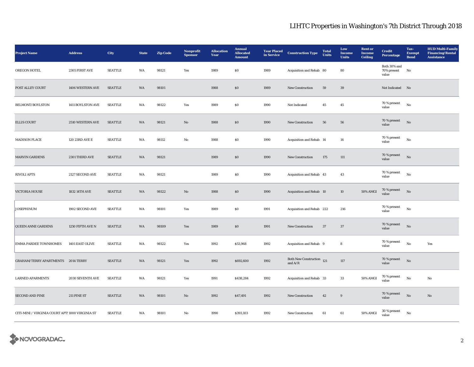| <b>Project Name</b>                              | <b>Address</b>    | City           | <b>State</b> | <b>Zip Code</b> | Nonprofit<br><b>Sponsor</b> | <b>Allocation</b><br>Year | <b>Annual</b><br><b>Allocated</b><br><b>Amount</b> | <b>Year Placed</b><br>in Service | <b>Construction Type</b>                 | <b>Total</b><br>Units | Low<br>Income<br><b>Units</b> | <b>Rent</b> or<br><b>Income</b><br><b>Ceiling</b> | <b>Credit</b><br><b>Percentage</b>   | Tax-<br><b>Exempt</b><br><b>Bond</b> | <b>HUD Multi-Family</b><br><b>Financing/Rental</b><br><b>Assistance</b> |
|--------------------------------------------------|-------------------|----------------|--------------|-----------------|-----------------------------|---------------------------|----------------------------------------------------|----------------------------------|------------------------------------------|-----------------------|-------------------------------|---------------------------------------------------|--------------------------------------|--------------------------------------|-------------------------------------------------------------------------|
| OREGON HOTEL                                     | 2305 FIRST AVE    | <b>SEATTLE</b> | WA           | 98121           | Yes                         | 1989                      | $\$0$                                              | 1989                             | Acquisition and Rehab 80                 |                       | 80                            |                                                   | Both 30% and<br>70% present<br>value | No                                   |                                                                         |
| POST ALLEY COURT                                 | 1406 WESTERN AVE  | <b>SEATTLE</b> | WA           | 98101           |                             | 1988                      | $\$0$                                              | 1989                             | <b>New Construction</b>                  | 59                    | 39                            |                                                   | Not Indicated No                     |                                      |                                                                         |
| BELMONT/BOYLSTON                                 | 1411 BOYLSTON AVE | <b>SEATTLE</b> | WA           | 98122           | Yes                         | 1989                      | ${\bf S0}$                                         | 1990                             | Not Indicated                            | 45                    | $45\,$                        |                                                   | 70 % present<br>value                | $_{\rm No}$                          |                                                                         |
| <b>ELLIS COURT</b>                               | 2510 WESTERN AVE  | <b>SEATTLE</b> | WA           | 98121           | $\mathbf{N}\mathbf{o}$      | 1988                      | $\$0$                                              | 1990                             | New Construction                         | 56                    | ${\bf 56}$                    |                                                   | 70 % present<br>value                | $_{\rm No}$                          |                                                                         |
| <b>MADISON PLACE</b>                             | 120 23RD AVE E    | <b>SEATTLE</b> | WA           | 98112           | No                          | 1988                      | $\$0$                                              | 1990                             | Acquisition and Rehab 14                 |                       | 14                            |                                                   | 70 % present<br>value                | $_{\rm No}$                          |                                                                         |
| <b>MARVIN GARDENS</b>                            | 2301 THIRD AVE    | <b>SEATTLE</b> | WA           | 98121           |                             | 1989                      | $\$0$                                              | 1990                             | New Construction                         | 175                   | 111                           |                                                   | 70 % present<br>value                | No                                   |                                                                         |
| <b>RIVOLI APTS</b>                               | 2127 SECOND AVE   | <b>SEATTLE</b> | WA           | 98121           |                             | 1989                      | \$0\$                                              | 1990                             | Acquisition and Rehab 43                 |                       | 43                            |                                                   | 70 % present<br>value                | $_{\rm No}$                          |                                                                         |
| <b>VICTORIA HOUSE</b>                            | 1832 14TH AVE     | <b>SEATTLE</b> | WA           | 98122           | $\mathbf{N}\mathbf{o}$      | 1988                      | $\boldsymbol{\mathsf{S}}\boldsymbol{\mathsf{O}}$   | 1990                             | Acquisition and Rehab 10                 |                       | 10                            | <b>50% AMGI</b>                                   | 70 % present<br>value                | $_{\rm No}$                          |                                                                         |
| <b>JOSEPHINUM</b>                                | 1902 SECOND AVE   | <b>SEATTLE</b> | WA           | 98101           | Yes                         | 1989                      | ${\bf S0}$                                         | 1991                             | Acquisition and Rehab 222                |                       | 216                           |                                                   | 70 % present<br>value                | $_{\rm No}$                          |                                                                         |
| <b>QUEEN ANNE GARDENS</b>                        | 1250 FIFTH AVE N  | <b>SEATTLE</b> | WA           | 98109           | Yes                         | 1989                      | \$0\$                                              | 1991                             | <b>New Construction</b>                  | 37                    | 37                            |                                                   | 70 % present<br>value                | No                                   |                                                                         |
| <b>EMMA PARDEE TOWNHOMES</b>                     | 1401 EAST OLIVE   | <b>SEATTLE</b> | WA           | 98122           | Yes                         | 1992                      | \$53,968                                           | 1992                             | Acquisition and Rehab 9                  |                       | 8                             |                                                   | 70 % present<br>value                | $_{\rm No}$                          | Yes                                                                     |
| GRAHAM/TERRY APARTMENTS 2014 TERRY               |                   | <b>SEATTLE</b> | WA           | 98121           | Yes                         | 1992                      | \$692,600                                          | 1992                             | Both New Construction $121$<br>and $A/R$ |                       | $117\,$                       |                                                   | 70 % present<br>value                | $_{\rm No}$                          |                                                                         |
| <b>LARNED APARMENTS</b>                          | 2030 SEVENTH AVE  | <b>SEATTLE</b> | WA           | 98121           | Yes                         | 1991                      | \$438,284                                          | 1992                             | Acquisition and Rehab 33                 |                       | 33                            | 50% AMGI                                          | 70 % present<br>value                | No                                   | No                                                                      |
| <b>SECOND AND PINE</b>                           | 211 PINE ST       | <b>SEATTLE</b> | WA           | 98101           | $\mathbf{N}\mathbf{o}$      | 1992                      | \$47,491                                           | 1992                             | <b>New Construction</b>                  | 42                    | $9\,$                         |                                                   | 70 % present<br>value                | No                                   | $\mathbf{No}$                                                           |
| CITI-MINI / VIRGINIA COURT APTS 1000 VIRGINIA ST |                   | <b>SEATTLE</b> | WA           | 98101           | No                          | 1990                      | \$393,103                                          | 1992                             | <b>New Construction</b>                  | 61                    | 61                            | $50\%$ AMGI                                       | $30\,\%$ present<br>value            | No                                   |                                                                         |

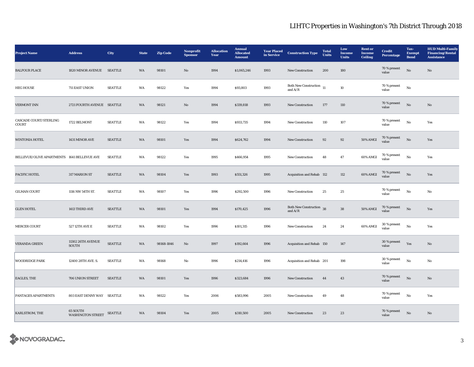| <b>Project Name</b>                           | <b>Address</b>                        | City           | <b>State</b> | <b>Zip Code</b> | Nonprofit<br><b>Sponsor</b> | <b>Allocation</b><br>Year | <b>Annual</b><br><b>Allocated</b><br><b>Amount</b> | <b>Year Placed</b><br>in Service | <b>Construction Type</b>                                                                | <b>Total</b><br><b>Units</b> | Low<br>Income<br><b>Units</b> | <b>Rent or</b><br>Income<br><b>Ceiling</b> | <b>Credit</b><br><b>Percentage</b> | Tax-<br><b>Exempt</b><br><b>Bond</b> | <b>HUD Multi-Family</b><br><b>Financing/Rental</b><br><b>Assistance</b> |
|-----------------------------------------------|---------------------------------------|----------------|--------------|-----------------|-----------------------------|---------------------------|----------------------------------------------------|----------------------------------|-----------------------------------------------------------------------------------------|------------------------------|-------------------------------|--------------------------------------------|------------------------------------|--------------------------------------|-------------------------------------------------------------------------|
| <b>BALFOUR PLACE</b>                          | 1820 MINOR AVENUE                     | <b>SEATTLE</b> | WA           | 98101           | No                          | 1994                      | \$1,065,246                                        | 1993                             | <b>New Construction</b>                                                                 | 200                          | 180                           |                                            | $70\,\%$ present<br>value          | $\rm No$                             | No                                                                      |
| <b>HEG HOUSE</b>                              | 711 EAST UNION                        | <b>SEATTLE</b> | WA           | 98122           | Yes                         | 1994                      | \$93,803                                           | 1993                             | Both New Construction $\begin{array}{cc} 11 \end{array}$<br>and $\mathrm{A}/\mathrm{R}$ |                              | 10                            |                                            | 70 % present<br>value              | $\rm No$                             |                                                                         |
| <b>VERMONT INN</b>                            | 2721 FOURTH AVENUE SEATTLE            |                | WA           | 98121           | No                          | 1994                      | \$339,818                                          | 1993                             | <b>New Construction</b>                                                                 | 177                          | 110                           |                                            | 70 % present<br>value              | $\rm No$                             | No                                                                      |
| <b>CASCADE COURT/STERLING</b><br><b>COURT</b> | 1722 BELMONT                          | <b>SEATTLE</b> | WA           | 98122           | Yes                         | 1994                      | \$933,735                                          | 1994                             | <b>New Construction</b>                                                                 | 110                          | 107                           |                                            | 70 % present<br>value              | No                                   | Yes                                                                     |
| WINTONIA HOTEL                                | 1431 MINOR AVE                        | <b>SEATTLE</b> | WA           | 98101           | Yes                         | 1994                      | \$624,762                                          | 1994                             | New Construction                                                                        | $92\,$                       | 92                            | 50% AMGI                                   | 70 % present<br>value              | $\rm No$                             | Yes                                                                     |
| BELLEVUE/OLIVE APARTMENTS 1641 BELLEVUE AVE   |                                       | <b>SEATTLE</b> | WA           | 98122           | Yes                         | 1995                      | \$466,954                                          | 1995                             | New Construction                                                                        | 48                           | $\bf 47$                      | 60% AMGI                                   | 70 % present<br>value              | $\rm\thinspace No$                   | Yes                                                                     |
| PACIFIC HOTEL                                 | 317 MARION ST                         | <b>SEATTLE</b> | WA           | 98104           | Yes                         | 1993                      | \$551,326                                          | 1995                             | Acquisition and Rehab 112                                                               |                              | 112                           | 60% AMGI                                   | 70 % present<br>value              | $\rm No$                             | Yes                                                                     |
| <b>GILMAN COURT</b>                           | 1116 NW 54TH ST.                      | <b>SEATTLE</b> | WA           | 98107           | Yes                         | 1996                      | \$292,500                                          | 1996                             | New Construction                                                                        | 25                           | 25                            |                                            | 70 % present<br>value              | $\rm No$                             | No                                                                      |
| <b>GLEN HOTEL</b>                             | 1413 THIRD AVE                        | <b>SEATTLE</b> | WA           | 98101           | Yes                         | 1994                      | \$170,425                                          | 1996                             | Both New Construction 38<br>and $A/R$                                                   |                              | 38                            | <b>50% AMGI</b>                            | 70 % present<br>value              | $\mathbf{N}\mathbf{o}$               | Yes                                                                     |
| <b>MERCER COURT</b>                           | 527 12TH AVE E                        | <b>SEATTLE</b> | WA           | 98102           | Yes                         | 1996                      | \$101,315                                          | 1996                             | New Construction                                                                        | 24                           | 24                            | 60% AMGI                                   | 30 % present<br>value              | $\rm No$                             | Yes                                                                     |
| <b>VERANDA GREEN</b>                          | 11302 26TH AVENUE<br><b>SOUTH</b>     | <b>SEATTLE</b> | WA           | 98168-1846      | $\mathbf{No}$               | 1997                      | \$192,664                                          | 1996                             | Acquisition and Rehab 150                                                               |                              | 147                           |                                            | 30 % present<br>value              | Yes                                  | $\mathbf{N}\mathbf{o}$                                                  |
| <b>WOODRIDGE PARK</b>                         | 12400 28TH AVE. S.                    | <b>SEATTLE</b> | WA           | 98168           | No                          | 1996                      | \$214,416                                          | 1996                             | Acquisition and Rehab 201                                                               |                              | 198                           |                                            | 30 % present<br>value              | $\rm No$                             | No                                                                      |
| <b>EAGLES, THE</b>                            | 706 UNION STREET                      | <b>SEATTLE</b> | WA           | 98101           | Yes                         | 1996                      | \$323,684                                          | 1996                             | New Construction                                                                        | 44                           | 43                            |                                            | 70 % present<br>value              | No                                   | No                                                                      |
| PANTAGES APARTMENTS                           | 803 EAST DENNY WAY SEATTLE            |                | WA           | 98122           | Yes                         | 2006                      | \$583,996                                          | 2005                             | <b>New Construction</b>                                                                 | 49                           | 48                            |                                            | 70 % present<br>value              | $\mathbf{No}$                        | Yes                                                                     |
| KARLSTROM, THE                                | 65 SOUTH<br>WASHINGTON STREET SEATTLE |                | WA           | 98104           | Yes                         | 2005                      | \$310,500                                          | 2005                             | <b>New Construction</b>                                                                 | 23                           | 23                            |                                            | 70 % present<br>value              | No                                   | No                                                                      |

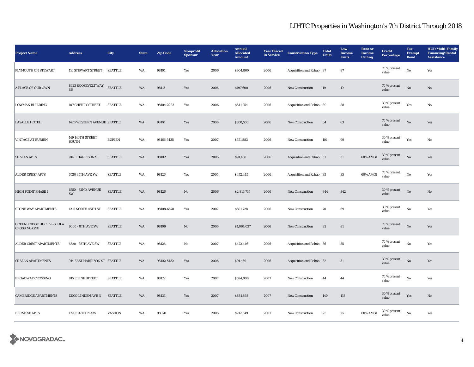| <b>Project Name</b>                                     | <b>Address</b>                  | <b>City</b>    | <b>State</b> | <b>Zip Code</b> | Nonprofit<br><b>Sponsor</b> | <b>Allocation</b><br>Year | <b>Annual</b><br><b>Allocated</b><br><b>Amount</b> | <b>Year Placed</b><br>in Service | <b>Construction Type</b> | <b>Total</b><br><b>Units</b> | Low<br><b>Income</b><br><b>Units</b> | <b>Rent or</b><br><b>Income</b><br><b>Ceiling</b> | <b>Credit</b><br><b>Percentage</b> | Tax-<br><b>Exempt</b><br><b>Bond</b> | <b>HUD Multi-Family</b><br><b>Financing/Rental</b><br><b>Assistance</b> |
|---------------------------------------------------------|---------------------------------|----------------|--------------|-----------------|-----------------------------|---------------------------|----------------------------------------------------|----------------------------------|--------------------------|------------------------------|--------------------------------------|---------------------------------------------------|------------------------------------|--------------------------------------|-------------------------------------------------------------------------|
| PLYMOUTH ON STEWART                                     | 116 STEWART STREET SEATTLE      |                | WA           | 98101           | Yes                         | 2006                      | \$904,800                                          | 2006                             | Acquisition and Rehab 87 |                              | 87                                   |                                                   | 70 % present<br>value              | No                                   | Yes                                                                     |
| A PLACE OF OUR OWN                                      | 8623 ROOSEVELT WAY<br>$\rm{NE}$ | <b>SEATTLE</b> | WA           | 98115           | Yes                         | 2006                      | \$197,600                                          | 2006                             | <b>New Construction</b>  | 19                           | 19                                   |                                                   | 70 % present<br>value              | $\rm No$                             | No                                                                      |
| <b>LOWMAN BUILDING</b>                                  | 107 CHERRY STREET               | <b>SEATTLE</b> | WA           | 98104-2223      | Yes                         | 2006                      | \$541,254                                          | 2006                             | Acquisition and Rehab 89 |                              | 88                                   |                                                   | 30 % present<br>value              | Yes                                  | No                                                                      |
| <b>LASALLE HOTEL</b>                                    | 1426 WESTERN AVENUE SEATTLE     |                | WA           | 98101           | Yes                         | 2006                      | \$850,500                                          | 2006                             | New Construction         | 64                           | 63                                   |                                                   | 70 % present<br>value              | $_{\rm No}$                          | Yes                                                                     |
| <b>VINTAGE AT BURIEN</b>                                | 149 140TH STREET<br>SOUTH       | <b>BURIEN</b>  | WA           | 98166-3435      | Yes                         | 2007                      | \$371,883                                          | 2006                             | <b>New Construction</b>  | 101                          | 99                                   |                                                   | 30 % present<br>value              | Yes                                  | No                                                                      |
| <b>SILVIAN APTS</b>                                     | 914 E HARRISON ST               | <b>SEATTLE</b> | WA           | 98102           | Yes                         | 2005                      | \$91,468                                           | 2006                             | Acquisition and Rehab 31 |                              | 31                                   | 60% AMGI                                          | $30\,\%$ present<br>value          | $\mathbf{N}\mathbf{o}$               | Yes                                                                     |
| <b>ALDER CREST APTS</b>                                 | 6520 35TH AVE SW                | <b>SEATTLE</b> | WA           | 98126           | Yes                         | 2005                      | \$472,445                                          | 2006                             | Acquisition and Rehab 35 |                              | $35\,$                               | 60% AMGI                                          | 70 % present<br>value              | $_{\rm No}$                          | Yes                                                                     |
| HIGH POINT PHASE I                                      | 6550 - 32ND AVENUE<br>SW        | <b>SEATTLE</b> | WA           | 98126           | $\mathbf{No}$               | 2006                      | \$2,816,735                                        | 2006                             | New Construction         | 344                          | 342                                  |                                                   | 30 % present<br>value              | $\rm No$                             | $\mathbf{N}\mathbf{o}$                                                  |
| <b>STONE WAY APARTMENTS</b>                             | 1215 NORTH 45TH ST              | <b>SEATTLE</b> | WA           | 98108-6678      | Yes                         | 2007                      | \$501,728                                          | 2006                             | New Construction         | 70                           | 69                                   |                                                   | 30 % present<br>value              | $_{\rm No}$                          | Yes                                                                     |
| <b>GREENBRIDGE HOPE VI-SEOLA</b><br><b>CROSSING ONE</b> | 9000 - 8TH AVE SW               | <b>SEATTLE</b> | WA           | 98106           | No                          | 2006                      | \$1,064,037                                        | 2006                             | New Construction         | 82                           | 81                                   |                                                   | 70 % present<br>value              | $_{\rm No}$                          | Yes                                                                     |
| ALDER CREST APARTMENTS                                  | 6520 - 35TH AVE SW              | <b>SEATTLE</b> | WA           | 98126           | No                          | 2007                      | \$472,446                                          | 2006                             | Acquisition and Rehab 36 |                              | 35                                   |                                                   | 70 % present<br>value              | No                                   | Yes                                                                     |
| <b>SILVIAN APARTMENTS</b>                               | 914 EAST HARRISON ST SEATTLE    |                | <b>WA</b>    | 98102-5432      | Yes                         | 2006                      | \$91,469                                           | 2006                             | Acquisition and Rehab 32 |                              | 31                                   |                                                   | 30 % present<br>value              | $\rm No$                             | Yes                                                                     |
| <b>BROADWAY CROSSING</b>                                | 815 E PINE STREET               | <b>SEATTLE</b> | WA           | 98122           | Yes                         | 2007                      | \$594,000                                          | 2007                             | <b>New Construction</b>  | 44                           | 44                                   |                                                   | 70 % present<br>value              | No                                   | Yes                                                                     |
| <b>CAMBRIDGE APARTMENTS</b>                             | 13030 LINDEN AVE N              | <b>SEATTLE</b> | WA           | 98133           | Yes                         | 2007                      | \$881,868                                          | 2007                             | <b>New Construction</b>  | 140                          | 138                                  |                                                   | $30$ % present<br>value            | Yes                                  | No                                                                      |
| <b>EERNISSE APTS</b>                                    | 17905 97TH PL SW                | <b>VASHON</b>  | WA           | 98070           | Yes                         | 2005                      | \$212,349                                          | 2007                             | <b>New Construction</b>  | 25                           | 25                                   | 60% AMGI                                          | 30 % present<br>value              | No                                   | Yes                                                                     |

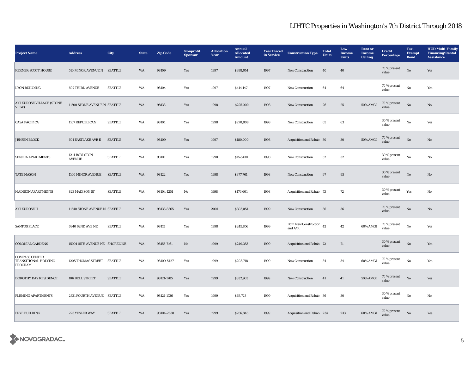| <b>Project Name</b>                                      | <b>Address</b>                 | City           | <b>State</b> | <b>Zip Code</b> | Nonprofit<br><b>Sponsor</b> | <b>Allocation</b><br>Year | <b>Annual</b><br><b>Allocated</b><br><b>Amount</b> | <b>Year Placed</b><br>in Service | <b>Construction Type</b>                   | <b>Total</b><br><b>Units</b> | Low<br>Income<br><b>Units</b> | <b>Rent or</b><br><b>Income</b><br><b>Ceiling</b> | <b>Credit</b><br><b>Percentage</b> | Tax-<br><b>Exempt</b><br><b>Bond</b> | <b>HUD Multi-Family</b><br><b>Financing/Rental</b><br><b>Assistance</b> |
|----------------------------------------------------------|--------------------------------|----------------|--------------|-----------------|-----------------------------|---------------------------|----------------------------------------------------|----------------------------------|--------------------------------------------|------------------------------|-------------------------------|---------------------------------------------------|------------------------------------|--------------------------------------|-------------------------------------------------------------------------|
| <b>KERNER-SCOTT HOUSE</b>                                | 510 MINOR AVENUE N SEATTLE     |                | WA           | 98109           | Yes                         | 1997                      | \$398,014                                          | 1997                             | New Construction                           | 40                           | 40                            |                                                   | 70 % present<br>value              | $\rm\thinspace No$                   | Yes                                                                     |
| <b>LYON BUILDING</b>                                     | <b>607 THIRD AVENUE</b>        | <b>SEATTLE</b> | WA           | 98104           | Yes                         | 1997                      | \$414,147                                          | 1997                             | New Construction                           | 64                           | 64                            |                                                   | $70\,\%$ present<br>value          | $\rm\, No$                           | Yes                                                                     |
| AKI KUROSE VILLAGE (STONE<br>VIEW)                       | 11500 STONE AVENUE N SEATTLE   |                | <b>WA</b>    | 98133           | Yes                         | 1998                      | \$225,000                                          | 1998                             | New Construction                           | 26                           | 25                            | 50% AMGI                                          | 70 % present<br>value              | $\rm No$                             | No                                                                      |
| <b>CASA PACIFICA</b>                                     | 1167 REPUBLICAN                | <b>SEATTLE</b> | WA           | 98101           | Yes                         | 1998                      | \$270,808                                          | 1998                             | <b>New Construction</b>                    | 65                           | 63                            |                                                   | 30 % present<br>value              | $_{\rm No}$                          | Yes                                                                     |
| <b>JENSEN BLOCK</b>                                      | <b>601 EASTLAKE AVE E</b>      | <b>SEATTLE</b> | WA           | 98109           | Yes                         | 1997                      | \$180,000                                          | 1998                             | Acquisition and Rehab 30                   |                              | 30                            | 50% AMGI                                          | 70 % present<br>value              | $_{\rm No}$                          | No                                                                      |
| <b>SENECA APARTMENTS</b>                                 | 1214 BOYLSTON<br><b>AVENUE</b> | <b>SEATTLE</b> | WA           | 98101           | Yes                         | 1998                      | \$152,430                                          | 1998                             | New Construction                           | $32\,$                       | $32\,$                        |                                                   | 30 % present<br>value              | $\rm No$                             | No                                                                      |
| <b>TATE MASON</b>                                        | 1100 MINOR AVENUE              | <b>SEATTLE</b> | WA           | 98122           | Yes                         | 1998                      | \$377,761                                          | 1998                             | <b>New Construction</b>                    | 97                           | $\bf 95$                      |                                                   | 30 % present<br>value              | $\mathbf{N}\mathbf{o}$               | No                                                                      |
| <b>MADISON APARTMENTS</b>                                | 823 MADISON ST                 | <b>SEATTLE</b> | WA           | 98104-1251      | No                          | 1998                      | \$176,601                                          | 1998                             | Acquisition and Rehab 73                   |                              | 72                            |                                                   | 30 % present<br>value              | Yes                                  | No                                                                      |
| <b>AKI KUROSE II</b>                                     | 11540 STONE AVENUE N SEATTLE   |                | WA           | 98133-8365      | Yes                         | 2001                      | \$303,054                                          | 1999                             | <b>New Construction</b>                    | 36                           | ${\bf 36}$                    |                                                   | 70 % present<br>value              | $\rm No$                             | No                                                                      |
| <b>SANTOS PLACE</b>                                      | 6940 62ND AVE NE               | <b>SEATTLE</b> | WA           | 98115           | Yes                         | 1998                      | \$245,856                                          | 1999                             | Both New Construction $\,$ 42<br>and $A/R$ |                              | 42                            | 60% AMGI                                          | 70 % present<br>value              | No                                   | Yes                                                                     |
| <b>COLONIAL GARDENS</b>                                  | 15001 15TH AVENUE NE SHORELINE |                | WA           | 98155-7161      | $\mathbf{N}\mathbf{o}$      | 1999                      | \$249,353                                          | 1999                             | Acquisition and Rehab 72                   |                              | 71                            |                                                   | 30 % present<br>value              | $\rm No$                             | Yes                                                                     |
| <b>COMPASS CENTER</b><br>TRANSITIONAL HOUSING<br>PROGRAM | 1205 THOMAS STREET SEATTLE     |                | WA           | 98109-5427      | Yes                         | 1999                      | \$203,718                                          | 1999                             | <b>New Construction</b>                    | 34                           | 34                            | 60% AMGI                                          | 70 % present<br>value              | No                                   | Yes                                                                     |
| DOROTHY DAY RESIDENCE                                    | 106 BELL STREET                | <b>SEATTLE</b> | WA           | 98121-1785      | Yes                         | 1999                      | \$332,963                                          | 1999                             | <b>New Construction</b>                    | 41                           | 41                            | 50% AMGI                                          | 70 % present<br>value              | No                                   | Yes                                                                     |
| <b>FLEMING APARTMENTS</b>                                | 2321 FOURTH AVENUE SEATTLE     |                | WA           | 98121-1726      | Yes                         | 1999                      | \$63,723                                           | 1999                             | Acquisition and Rehab 36                   |                              | 30                            |                                                   | 30 % present<br>value              | $_{\rm No}$                          | No                                                                      |
| <b>FRYE BUILDING</b>                                     | 223 YESLER WAY                 | <b>SEATTLE</b> | WA           | 98104-2638      | Yes                         | 1999                      | \$256,845                                          | 1999                             | Acquisition and Rehab 234                  |                              | 233                           | 60% AMGI                                          | $70\,\%$ present<br>value          | $\mathbf{N}\mathbf{o}$               | Yes                                                                     |

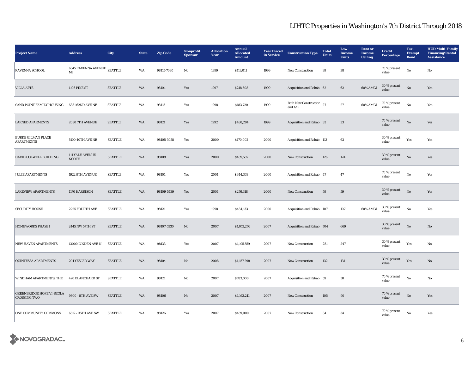| <b>Project Name</b>                                     | <b>Address</b>                          | City           | <b>State</b> | <b>Zip Code</b> | Nonprofit<br><b>Sponsor</b> | <b>Allocation</b><br>Year | <b>Annual</b><br><b>Allocated</b><br><b>Amount</b> | <b>Year Placed</b><br>in Service | <b>Construction Type</b>              | <b>Total</b><br><b>Units</b> | Low<br><b>Income</b><br><b>Units</b> | <b>Rent or</b><br><b>Income</b><br><b>Ceiling</b> | <b>Credit</b><br><b>Percentage</b> | Tax-<br><b>Exempt</b><br><b>Bond</b> | <b>HUD Multi-Family</b><br><b>Financing/Rental</b><br><b>Assistance</b> |
|---------------------------------------------------------|-----------------------------------------|----------------|--------------|-----------------|-----------------------------|---------------------------|----------------------------------------------------|----------------------------------|---------------------------------------|------------------------------|--------------------------------------|---------------------------------------------------|------------------------------------|--------------------------------------|-------------------------------------------------------------------------|
| RAVENNA SCHOOL                                          | 6545 RAVENNA AVENUE SEATTLE<br>$\rm NE$ |                | WA           | 98115-7095      | No                          | 1999                      | \$119,011                                          | 1999                             | New Construction                      | 39                           | ${\bf 38}$                           |                                                   | 70 % present<br>value              | $\rm No$                             | No                                                                      |
| <b>VILLA APTS</b>                                       | 1106 PIKE ST                            | <b>SEATTLE</b> | WA           | 98101           | Yes                         | 1997                      | \$218,608                                          | 1999                             | Acquisition and Rehab 62              |                              | 62                                   | 60% AMGI                                          | 30 % present<br>value              | $_{\rm No}$                          | Yes                                                                     |
| SAND POINT FAMILY HOUSING                               | 6831 62ND AVE NE                        | <b>SEATTLE</b> | WA           | 98115           | Yes                         | 1998                      | \$183,720                                          | 1999                             | Both New Construction 27<br>and $A/R$ |                              | $\bf 27$                             | 60% AMGI                                          | 70 % present<br>value              | $\rm No$                             | Yes                                                                     |
| <b>LARNED APARMENTS</b>                                 | 2030 7TH AVENUE                         | <b>SEATTLE</b> | WA           | 98121           | Yes                         | 1992                      | \$438,284                                          | 1999                             | Acquisition and Rehab 33              |                              | $33\,$                               |                                                   | 70 % present<br>value              | $\rm No$                             | Yes                                                                     |
| <b>BURKE GILMAN PLACE</b><br><b>APARTMENTS</b>          | 5100 40TH AVE NE                        | <b>SEATTLE</b> | WA           | 98105-3058      | Yes                         | 2000                      | \$170,002                                          | 2000                             | Acquisition and Rehab 113             |                              | 62                                   |                                                   | 30 % present<br>value              | Yes                                  | Yes                                                                     |
| DAVID COLWELL BUILDING                                  | <b>111 YALE AVENUE</b><br><b>NORTH</b>  | <b>SEATTLE</b> | WA           | 98109           | Yes                         | 2000                      | \$439,555                                          | 2000                             | New Construction                      | 126                          | 124                                  |                                                   | 30 % present<br>value              | $\rm No$                             | Yes                                                                     |
| <b>JULIE APARTMENTS</b>                                 | 1922 9TH AVENUE                         | <b>SEATTLE</b> | WA           | 98101           | Yes                         | 2001                      | \$344,363                                          | 2000                             | Acquisition and Rehab 47              |                              | 47                                   |                                                   | 70 % present<br>value              | $\rm No$                             | Yes                                                                     |
| <b>LAKEVIEW APARTMENTS</b>                              | 1170 HARRISON                           | <b>SEATTLE</b> | WA           | 98109-5439      | Yes                         | 2001                      | \$276,318                                          | 2000                             | <b>New Construction</b>               | 59                           | 59                                   |                                                   | 30 % present<br>value              | No                                   | Yes                                                                     |
| <b>SECURITY HOUSE</b>                                   | 2225 FOURTH AVE                         | <b>SEATTLE</b> | WA           | 98121           | Yes                         | 1998                      | \$434,133                                          | 2000                             | Acquisition and Rehab 107             |                              | 107                                  | 60% AMGI                                          | 30 % present<br>value              | No                                   | Yes                                                                     |
| <b>HOMEWORKS PHASE I</b>                                | 2445 NW 57TH ST                         | <b>SEATTLE</b> | WA           | 98107-5330      | No                          | 2007                      | \$1,013,276                                        | 2007                             | Acquisition and Rehab 704             |                              | 669                                  |                                                   | 30 % present<br>value              | No                                   | No                                                                      |
| <b>NEW HAVEN APARTMENTS</b>                             | 13000 LINDEN AVE N                      | <b>SEATTLE</b> | WA           | 98133           | Yes                         | 2007                      | \$1,195,559                                        | 2007                             | <b>New Construction</b>               | 251                          | 247                                  |                                                   | 30 % present<br>value              | Yes                                  | No                                                                      |
| <b>QUINTESSA APARTMENTS</b>                             | 201 YESLER WAY                          | <b>SEATTLE</b> | WA           | 98104           | No                          | 2008                      | \$1,157,298                                        | 2007                             | <b>New Construction</b>               | 132                          | 131                                  |                                                   | 30 % present<br>value              | Yes                                  | No                                                                      |
| WINDHAM APARTMENTS, THE                                 | <b>420 BLANCHARD ST</b>                 | <b>SEATTLE</b> | WA           | 98121           | No                          | 2007                      | \$783,000                                          | 2007                             | Acquisition and Rehab 59              |                              | 58                                   |                                                   | 70 % present<br>value              | No                                   | No                                                                      |
| <b>GREENBRIDGE HOPE VI-SEOLA</b><br><b>CROSSING TWO</b> | 9800 - 8TH AVE SW                       | <b>SEATTLE</b> | WA           | 98106           | No                          | 2007                      | \$1,162,211                                        | 2007                             | <b>New Construction</b>               | 105                          | 90                                   |                                                   | 70 % present<br>value              | No                                   | Yes                                                                     |
| ONE COMMUNITY COMMONS                                   | 6512 - 35TH AVE SW                      | <b>SEATTLE</b> | WA           | 98126           | Yes                         | 2007                      | \$459,000                                          | 2007                             | <b>New Construction</b>               | 34                           | 34                                   |                                                   | 70 % present<br>value              | No                                   | Yes                                                                     |

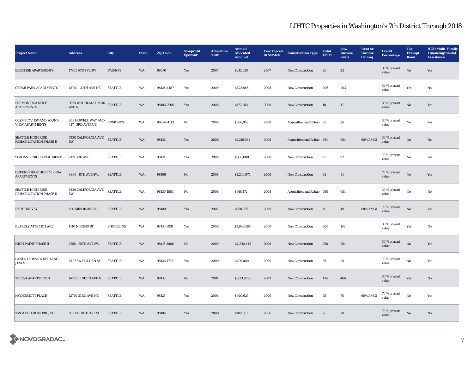| <b>Project Name</b>                                   | <b>Address</b>                           | City             | <b>State</b> | <b>Zip Code</b> | Nonprofit<br><b>Sponsor</b> | <b>Allocation</b><br>Year | <b>Annual</b><br><b>Allocated</b><br><b>Amount</b> | <b>Year Placed</b><br>in Service | <b>Construction Type</b>  | <b>Total</b><br>Units | Low<br>Income<br><b>Units</b> | <b>Rent or</b><br><b>Income</b><br><b>Ceiling</b> | <b>Credit</b><br><b>Percentage</b> | Tax-<br><b>Exempt</b><br><b>Bond</b> | <b>HUD Multi-Family</b><br><b>Financing/Rental</b><br><b>Assistance</b> |
|-------------------------------------------------------|------------------------------------------|------------------|--------------|-----------------|-----------------------------|---------------------------|----------------------------------------------------|----------------------------------|---------------------------|-----------------------|-------------------------------|---------------------------------------------------|------------------------------------|--------------------------------------|-------------------------------------------------------------------------|
| <b>EERNISSE APARTMENTS</b>                            | 17905 97TH PL SW                         | <b>VASHON</b>    | WA           | 98070           | Yes                         | 2007                      | \$212,350                                          | 2007                             | New Construction          | 26                    | 25                            |                                                   | 30 % present<br>value              | $\rm No$                             | Yes                                                                     |
| <b>CEDAR PARK APARTMENTS</b>                          | 12740 - 30TH AVE NE                      | <b>SEATTLE</b>   | WA           | 98125-4487      | Yes                         | 2009                      | \$825,885                                          | 2008                             | <b>New Construction</b>   | 206                   | 203                           |                                                   | 30 % present<br>value              | Yes                                  | No                                                                      |
| FREMONT SOLSTICE<br><b>APARTMENTS</b>                 | 3623 WOODLAND PARK SEATTLE<br>AVE N      |                  | WA           | 98103-7905      | Yes                         | 2008                      | \$172,282                                          | 2008                             | <b>New Construction</b>   | 18                    | 17                            |                                                   | 30 % present<br>value              | $\rm No$                             | Yes                                                                     |
| OLYMPIC VIEW AND SOUND<br><b>VIEW APARTMENTS</b>      | 303 HOWELL WAY AND<br>417 - 3RD AVENUE   | <b>EDMONDS</b>   | WA           | 98020-4113      | No                          | 2008                      | \$386,953                                          | 2008                             | Acquisition and Rehab 88  |                       | 86                            |                                                   | 30 % present<br>value              | $_{\rm No}$                          | Yes                                                                     |
| <b>SEATTLE HIGH RISE</b><br>REHABILITATION PHASE II   | <b>6420 CALIFORNIA AVE SEATTLE</b><br>SW |                  | WA           | 98136           | Yes                         | 2006                      | \$1,216,941                                        | 2008                             | Acquisition and Rehab 654 |                       | 654                           | 60% AMGI                                          | 30 % present<br>value              | $\rm No$                             | No                                                                      |
| SIMONS SENIOR APARTMENTS                              | 2119 3RD AVE                             | <b>SEATTLE</b>   | WA           | 98121           | Yes                         | 2008                      | \$988,000                                          | 2008                             | New Construction          | 95                    | 92                            |                                                   | 70 % present<br>value              | $\rm No$                             | Yes                                                                     |
| <b>GREENBRIDGE HOPE VI - NIA</b><br><b>APARTMENTS</b> | 9800 - 8TH AVE SW.                       | <b>SEATTLE</b>   | WA           | 98106           | No                          | 2008                      | \$1,246,974                                        | 2008                             | <b>New Construction</b>   | 82                    | ${\bf 81}$                    |                                                   | 70 % present<br>value              | $\mathbf{N}\mathbf{o}$               | Yes                                                                     |
| <b>SEATTLE HIGH RISE</b><br>REHABILITATION PHASE II   | $6420$ CALIFORNIA AVE $\,$<br>SW         | <b>SEATTLE</b>   | WA           | 98136-1883      | No                          | 2008                      | \$918,172                                          | 2008                             | Acquisition and Rehab 690 |                       | 654                           |                                                   | 30 % present<br>value              | $\rm\, No$                           | No                                                                      |
| <b>BART HARVEY</b>                                    | 430 MINOR AVE N                          | <b>SEATTLE</b>   | WA           | 98109           | Yes                         | 2007                      | \$760,725                                          | 2009                             | <b>New Construction</b>   | 49                    | 49                            | 60% AMGI                                          | 70 % present<br>value              | No                                   | Yes                                                                     |
| <b>BLAKELY AT ECHO LAKE</b>                           | 1140 N 192ND ST                          | <b>SHORELINE</b> | WA           | 98133-3931      | Yes                         | 2009                      | \$1,043,595                                        | 2009                             | <b>New Construction</b>   | 200                   | 199                           |                                                   | 30 % present<br>value              | Yes                                  | No                                                                      |
| HIGH POINT PHASE II                                   | 6558 - 35TH AVE SW                       | <b>SEATTLE</b>   | WA           | 98116-3006      | No                          | 2009                      | \$2,842,445                                        | 2009                             | <b>New Construction</b>   | 256                   | 254                           |                                                   | 30 % present<br>value              | $\mathbf{N}\mathbf{o}$               | Yes                                                                     |
| SANTA TERESITA DEL NINO<br><b>JESUS</b>               | 2427 SW HOLDEN ST                        | <b>SEATTLE</b>   | WA           | 98126-1725      | Yes                         | 2009                      | \$299,000                                          | 2009                             | New Construction          | 26                    | $\bf 25$                      |                                                   | 70 % present<br>value              | $\rm No$                             | Yes                                                                     |
| <b>TRESSA APARTMENTS</b>                              | 14200 LINDEN AVE N SEATTLE               |                  | WA           | 98133           | No                          | 2010                      | \$3,333,819                                        | 2009                             | <b>New Construction</b>   | 474                   | 466                           |                                                   | $30\,\%$ present<br>value          | Yes                                  | No                                                                      |
| MCDERMOTT PLACE                                       | 12740 33RD AVE NE                        | <b>SEATTLE</b>   | WA           | 98125           | Yes                         | 2008                      | \$920,625                                          | 2009                             | <b>New Construction</b>   | 75                    | 75                            | 60% AMGI                                          | $70\,\%$ present<br>value          | No                                   | Yes                                                                     |
| YMCA BUILDING PROJECT                                 | 909 FOURTH AVENUE SEATTLE                |                  | WA           | 98104           | Yes                         | 2000                      | \$182,361                                          | 2000                             | <b>New Construction</b>   | 20                    | 20                            |                                                   | 70 % present<br>value              | No                                   | No                                                                      |

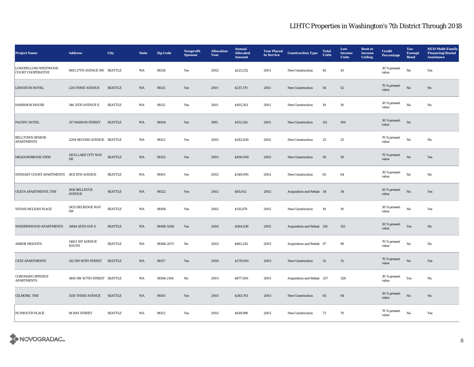| <b>Project Name</b>                             | <b>Address</b>                  | City           | <b>State</b> | <b>Zip Code</b> | Nonprofit<br><b>Sponsor</b> | <b>Allocation</b><br>Year | <b>Annual</b><br><b>Allocated</b><br><b>Amount</b> | <b>Year Placed</b><br>in Service | <b>Construction Type</b>  | <b>Total</b><br><b>Units</b> | Low<br>Income<br><b>Units</b> | <b>Rent or</b><br><b>Income</b><br><b>Ceiling</b> | <b>Credit</b><br><b>Percentage</b> | Tax-<br><b>Exempt</b><br><b>Bond</b> | <b>HUD Multi-Family</b><br><b>Financing/Rental</b><br><b>Assistance</b> |
|-------------------------------------------------|---------------------------------|----------------|--------------|-----------------|-----------------------------|---------------------------|----------------------------------------------------|----------------------------------|---------------------------|------------------------------|-------------------------------|---------------------------------------------------|------------------------------------|--------------------------------------|-------------------------------------------------------------------------|
| LONGFELLOW/WESTWOOD<br><b>COURT COOPERATIVE</b> | 9401 27TH AVENUE SW SEATTLE     |                | WA           | 98126           | Yes                         | 2002                      | \$225,252                                          | 2001                             | New Construction          | 45                           | 45                            |                                                   | 30 % present<br>value              | $\rm\, No$                           | Yes                                                                     |
| <b>LEWISTON HOTEL</b>                           | 2201 FIRST AVENUE               | <b>SEATTLE</b> | WA           | 98121           | Yes                         | 2001                      | \$257,170                                          | 2001                             | <b>New Construction</b>   | 54                           | 52                            |                                                   | 70 % present<br>value              | No                                   | No                                                                      |
| <b>HARRISON HOUSE</b>                           | 346 15TH AVENUE E               | <b>SEATTLE</b> | WA           | 98112           | Yes                         | 2001                      | \$105,263                                          | 2001                             | <b>New Construction</b>   | 19                           | 19                            |                                                   | 30 % present<br>value              | No                                   | No                                                                      |
| PACIFIC HOTEL                                   | 317 MARION STREET               | <b>SEATTLE</b> | WA           | 98104           | Yes                         | 1995                      | \$551,326                                          | 2001                             | New Construction          | 112                          | 109                           |                                                   | 30 % present<br>value              | $\rm No$                             |                                                                         |
| <b>BELLTOWN SENIOR</b><br><b>APARTMENTS</b>     | 2208 SECOND AVENUE SEATTLE      |                | WA           | 98121           | Yes                         | 2003                      | \$282,830                                          | 2002                             | <b>New Construction</b>   | 25                           | 25                            |                                                   | 70 % present<br>value              | $\rm No$                             | No                                                                      |
| <b>MEADOWBROOK VIEW</b>                         | 11032 LAKE CITY WAY<br>$\rm NE$ | <b>SEATTLE</b> | WA           | 98125           | Yes                         | 2003                      | \$450,000                                          | 2002                             | <b>New Construction</b>   | 50                           | 50                            |                                                   | 70 % present<br>value              | $\mathbf{N}\mathbf{o}$               | Yes                                                                     |
| STEWART COURT APARTMENTS                        | 1831 8TH AVENUE                 | <b>SEATTLE</b> | WA           | 98101           | Yes                         | 2002                      | \$349,095                                          | 2002                             | New Construction          | 65                           | $\bf{64}$                     |                                                   | 30 % present<br>value              | $\rm No$                             | No                                                                      |
| OLETA APARTMENTS, THE                           | 1816 BELLEVUE<br><b>AVENUE</b>  | <b>SEATTLE</b> | WA           | 98122           | Yes                         | 2002                      | \$85,012                                           | 2002                             | Acquisition and Rehab 34  |                              | 34                            |                                                   | 30 % present<br>value              | $_{\rm No}$                          | Yes                                                                     |
| VIVIAN MCLEAN PLACE                             | 5425 DELRIDGE WAY<br>SW         | <b>SEATTLE</b> | WA           | 98106           | Yes                         | 2002                      | \$115,670                                          | 2002                             | <b>New Construction</b>   | 19                           | $\bf{19}$                     |                                                   | 30 % present<br>value              | $_{\rm No}$                          | Yes                                                                     |
| WHISPERWOOD APARTMENTS                          | 11844 26TH AVE S                | <b>SEATTLE</b> | WA           | 98168-5208      | Yes                         | 2004                      | \$364,036                                          | 2002                             | Acquisition and Rehab 126 |                              | 125                           |                                                   | 30 % present<br>value              | Yes                                  | No                                                                      |
| <b>ARBOR HEIGHTS</b>                            | 11603 IST AVENUE<br>SOUTH       | <b>SEATTLE</b> | WA           | 98168-2071      | No                          | 2003                      | \$661,242                                          | 2003                             | Acquisition and Rehab 97  |                              | 96                            |                                                   | 70 % present<br>value              | $\rm No$                             | No                                                                      |
| <b>CATE APARTMENTS</b>                          | 312 NW 85TH STREET              | <b>SEATTLE</b> | WA           | 98117           | Yes                         | 2004                      | \$279,000                                          | 2003                             | <b>New Construction</b>   | 31                           | 31                            |                                                   | 70 % present<br>value              | $\mathbf{No}$                        | Yes                                                                     |
| <b>CORONADO SPRINGS</b><br><b>APARTMENTS</b>    | 1400 SW 107TH STREET SEATTLE    |                | WA           | 98146-2144      | No                          | 2003                      | \$877,509                                          | 2003                             | Acquisition and Rehab 337 |                              | 328                           |                                                   | 30 % present<br>value              | Yes                                  | No                                                                      |
| GILMORE, THE                                    | <b>1530 THIRD AVENUE</b>        | SEATTLE        | WA           | 98101           | Yes                         | 2003                      | \$383,701                                          | 2003                             | <b>New Construction</b>   | 65                           | 64                            |                                                   | 30 % present<br>value              | $\rm No$                             | No                                                                      |
| PLYMOUTH PLACE                                  | 94 BAY STREET                   | <b>SEATTLE</b> | WA           | 98121           | Yes                         | 2003                      | \$419,996                                          | 2003                             | <b>New Construction</b>   | 73                           | 70                            |                                                   | $70\,\%$ present<br>value          | No                                   | Yes                                                                     |

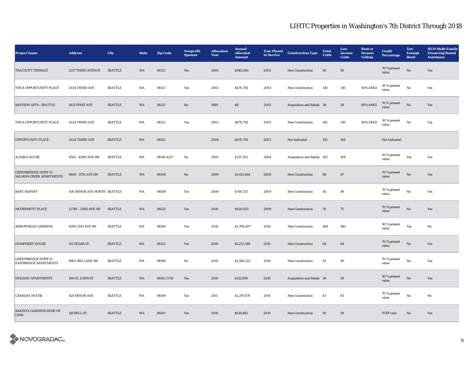| <b>Project Name</b>                                            | <b>Address</b>              | City           | <b>State</b> | <b>Zip Code</b> | Nonprofit<br><b>Sponsor</b> | <b>Allocation</b><br>Year | <b>Annual</b><br><b>Allocated</b><br><b>Amount</b> | <b>Year Placed</b><br>in Service | <b>Construction Type</b>  | <b>Total</b><br>Units | Low<br>Income<br><b>Units</b> | <b>Rent or</b><br>Income<br><b>Ceiling</b> | <b>Credit</b><br><b>Percentage</b> | Tax-<br><b>Exempt</b><br><b>Bond</b> | <b>HUD Multi-Family</b><br><b>Financing/Rental</b><br><b>Assistance</b> |
|----------------------------------------------------------------|-----------------------------|----------------|--------------|-----------------|-----------------------------|---------------------------|----------------------------------------------------|----------------------------------|---------------------------|-----------------------|-------------------------------|--------------------------------------------|------------------------------------|--------------------------------------|-------------------------------------------------------------------------|
| <b>TRAUGOTT TERRACE</b>                                        | 2317 THIRD AVENUE           | <b>SEATTLE</b> | WA           | 98121           | Yes                         | 2003                      | \$585,000                                          | 2003                             | New Construction          | 50                    | ${\bf 50}$                    |                                            | 70 % present<br>value              | $\rm \bf No$                         | Yes                                                                     |
| YWCA OPPORTUNITY PLACE                                         | 2024 THIRD AVE              | <b>SEATTLE</b> | WA           | 98121           | Yes                         | 2002                      | \$670,759                                          | 2003                             | <b>New Construction</b>   | 130                   | 130                           | 60% AMGI                                   | 30 % present<br>value              | $_{\rm No}$                          | Yes                                                                     |
| <b>BAYVIEW APTS - SEATTLE</b>                                  | 2615 FIRST AVE              | <b>SEATTLE</b> | WA           | 98121           | No                          | 1989                      | \$0                                                | 2003                             | Acquisition and Rehab 28  |                       | 28                            | 60% AMGI                                   | 70 % present<br>value              | $\rm \bf No$                         | Yes                                                                     |
| YWCA OPPORTUNITY PLACE                                         | 2024 THIRD AVE              | <b>SEATTLE</b> | WA           | 98121           | Yes                         | 2003                      | \$670,759                                          | 2003                             | New Construction          | 145                   | 130                           | 60% AMGI                                   | 30 % present<br>value              | $_{\rm No}$                          | Yes                                                                     |
| OPPORTUNITY PLACE                                              | 2024 THIRD AVE              | <b>SEATTLE</b> | WA           | 98121           |                             | 2004                      | \$670,759                                          | 2003                             | Not Indicated             | 145                   | 144                           |                                            | Not Indicated                      |                                      |                                                                         |
| <b>ALASKA HOUSE</b>                                            | 4545 - 42ND AVE SW          | <b>SEATTLE</b> | WA           | 98116-4237      | No                          | 2005                      | \$337,303                                          | 2004                             | Acquisition and Rehab 105 |                       | 104                           |                                            | 30 % present<br>value              | Yes                                  | Yes                                                                     |
| <b>GREENBRIDGE HOPE VI -</b><br><b>SALMON CREEK APARTMENTS</b> | 9800 - 8TH AVE SW           | <b>SEATTLE</b> | WA           | 98106           | No                          | 2009                      | \$1,421,464                                        | 2009                             | <b>New Construction</b>   | 88                    | 87                            |                                            | 70 % present<br>value              | $\rm \bf No$                         | Yes                                                                     |
| <b>BART HARVEY</b>                                             | 430 MINOR AVE NORTH SEATTLE |                | WA           | 98109           | Yes                         | 2009                      | \$760,725                                          | 2009                             | New Construction          | 50                    | 49                            |                                            | 70 % present<br>value              | $_{\rm No}$                          | Yes                                                                     |
| MCDERMOTT PLACE                                                | 12740 - 33RD AVE NE         | <b>SEATTLE</b> | <b>WA</b>    | 98125           | Yes                         | 2010                      | \$920,625                                          | 2009                             | New Construction          | 76                    | 75                            |                                            | 70 % present<br>value              | $\rm \bf No$                         | Yes                                                                     |
| ARROWHEAD GARDENS                                              | 9200 2ND AVE SW             | <b>SEATTLE</b> | WA           | 98106           | Yes                         | 2010                      | \$1,700,007                                        | 2010                             | <b>New Construction</b>   | 449                   | 443                           |                                            | 30 % present<br>value              | Yes                                  | No                                                                      |
| <b>HUMPHREY HOUSE</b>                                          | 111 CEDAR ST.               | <b>SEATTLE</b> | WA           | 98121           | Yes                         | 2010                      | \$1,212,548                                        | 2010                             | <b>New Construction</b>   | 84                    | 84                            |                                            | 70 % present<br>value              | $\rm \bf No$                         | Yes                                                                     |
| <b>GREENBRIDGE HOPE VI -</b><br><b>EASTBRIDGE APARTMENTS</b>   | 9963 3RD LANE SW            | <b>SEATTLE</b> | WA           | 98106           | $\rm No$                    | 2010                      | \$1,506,322                                        | 2010                             | New Construction          | 91                    | $90\,$                        |                                            | 70 % present<br>value              | $_{\rm No}$                          | Yes                                                                     |
| <b>HOLIDAY APARTMENTS</b>                                      | 1001 E. JOHN ST             | <b>SEATTLE</b> | WA           | 98102-5718      | Yes                         | 2010                      | \$153,859                                          | 2010                             | Acquisition and Rehab 30  |                       | 29                            |                                            | 30 % present<br>value              | No                                   | Yes                                                                     |
| <b>CANADAY HOUSE</b>                                           | 424 MINOR AVE               | <b>SEATTLE</b> | WA           | 98109           | Yes                         | 2011                      | \$1,297,470                                        | 2010                             | <b>New Construction</b>   | 83                    | 83                            |                                            | 70 % present<br>value              | $_{\rm No}$                          | No                                                                      |
| <b>BAKHITA GARDENS-ROSE OF</b><br><b>LIMA</b>                  | 118 BELL ST.                | <b>SEATTLE</b> | <b>WA</b>    | 98101           | Yes                         | 2010                      | \$619,482                                          | 2010                             | <b>New Construction</b>   | 50                    | 50                            |                                            | <b>TCEP</b> only                   | No                                   | Yes                                                                     |

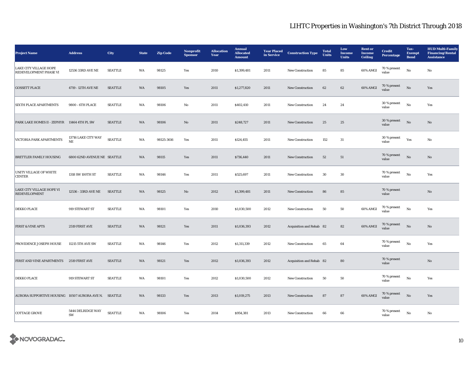| <b>Project Name</b>                                     | <b>Address</b>                     | <b>City</b>    | <b>State</b> | <b>Zip Code</b> | Nonprofit<br><b>Sponsor</b> | <b>Allocation</b><br>Year | <b>Annual</b><br><b>Allocated</b><br><b>Amount</b> | <b>Year Placed</b><br>in Service | <b>Construction Type</b> | <b>Total</b><br><b>Units</b> | Low<br>Income<br><b>Units</b> | <b>Rent or</b><br><b>Income</b><br><b>Ceiling</b> | <b>Credit</b><br>Percentage | Tax-<br><b>Exempt</b><br><b>Bond</b> | <b>HUD Multi-Family</b><br><b>Financing/Rental</b><br><b>Assistance</b> |
|---------------------------------------------------------|------------------------------------|----------------|--------------|-----------------|-----------------------------|---------------------------|----------------------------------------------------|----------------------------------|--------------------------|------------------------------|-------------------------------|---------------------------------------------------|-----------------------------|--------------------------------------|-------------------------------------------------------------------------|
| <b>LAKE CITY VILLAGE HOPE</b><br>REDEVELOPMENT PHASE VI | 12536 33RD AVE NE                  | <b>SEATTLE</b> | WA           | 98125           | Yes                         | 2010                      | \$1,399,481                                        | 2011                             | New Construction         | 85                           | 85                            | 60% AMGI                                          | 70 % present<br>value       | $\mathbf{N}\mathbf{o}$               | No                                                                      |
| <b>GOSSETT PLACE</b>                                    | 4719 - 12TH AVE NE                 | <b>SEATTLE</b> | WA           | 98105           | Yes                         | 2011                      | \$1,277,820                                        | 2011                             | <b>New Construction</b>  | 62                           | 62                            | 60% AMGI                                          | 70 % present<br>value       | $_{\rm No}$                          | Yes                                                                     |
| <b>SIXTH PLACE APARTMENTS</b>                           | 9800 - 6TH PLACE                   | <b>SEATTLE</b> | WA           | 98106           | No                          | 2011                      | \$402,410                                          | 2011                             | <b>New Construction</b>  | 24                           | 24                            |                                                   | 30 % present<br>value       | No                                   | Yes                                                                     |
| PARK LAKE HOMES II - ZEPHYR 11464 4TH PL SW             |                                    | <b>SEATTLE</b> | WA           | 98106           | $\rm No$                    | 2011                      | \$248,727                                          | 2011                             | New Construction         | $25\,$                       | $\bf 25$                      |                                                   | 30 % present<br>value       | No                                   | $\mathbf{No}$                                                           |
| VICTORIA PARK APARTMENTS                                | 13716 LAKE CITY WAY<br>$_{\rm NE}$ | <b>SEATTLE</b> | WA           | 98125-3616      | Yes                         | 2011                      | \$124,455                                          | 2011                             | <b>New Construction</b>  | 152                          | $31\,$                        |                                                   | 30 % present<br>value       | Yes                                  | No                                                                      |
| BRETTLER FAMILY HOUSING                                 | 6800 62ND AVENUE NE SEATTLE        |                | WA           | 98115           | Yes                         | 2011                      | \$736,440                                          | 2011                             | New Construction         | 52                           | $51\,$                        |                                                   | 70 % present<br>value       | $\rm No$                             | No                                                                      |
| <b>UNITY VILLAGE OF WHITE</b><br><b>CENTER</b>          | 1318 SW 100TH ST                   | <b>SEATTLE</b> | WA           | 98146           | Yes                         | 2011                      | \$525,697                                          | 2011                             | New Construction         | $30\,$                       | 30                            |                                                   | 70 % present<br>value       | No                                   | Yes                                                                     |
| LAKE CITY VILLAGE HOPE VI<br><b>REDEVELOPMENT</b>       | 12536 - 33RD AVE NE                | <b>SEATTLE</b> | WA           | 98125           | $\mathbf{N}\mathbf{o}$      | 2012                      | \$1,399,481                                        | 2011                             | New Construction         | 86                           | 85                            |                                                   | 70 % present<br>value       |                                      | No                                                                      |
| DEKKO PLACE                                             | 919 STEWART ST                     | <b>SEATTLE</b> | WA           | 98101           | Yes                         | 2010                      | \$1,030,500                                        | 2012                             | New Construction         | 50                           | 50                            | 60% AMGI                                          | $70$ % present<br>value     | No                                   | Yes                                                                     |
| <b>FIRST &amp; VINE APTS</b>                            | 2519 FIRST AVE                     | <b>SEATTLE</b> | WA           | 98121           | Yes                         | 2011                      | \$1,036,393                                        | 2012                             | Acquisition and Rehab 82 |                              | 82                            | 60% AMGI                                          | 70 % present<br>value       | No                                   | $\mathbf{No}$                                                           |
| PROVIDENCE JOSEPH HOUSE                                 | 11215 5TH AVE SW                   | <b>SEATTLE</b> | WA           | 98146           | Yes                         | 2012                      | \$1,311,339                                        | 2012                             | New Construction         | 65                           | 64                            |                                                   | 70 % present<br>value       | $\mathbf{N}\mathbf{o}$               | Yes                                                                     |
| FIRST AND VINE APARTMENTS                               | 2519 FIRST AVE                     | <b>SEATTLE</b> | WA           | 98121           | Yes                         | 2012                      | \$1,036,393                                        | 2012                             | Acquisition and Rehab 82 |                              | 80                            |                                                   | 70 % present<br>value       |                                      | $\mathbf{No}$                                                           |
| <b>DEKKO PLACE</b>                                      | 919 STEWART ST                     | <b>SEATTLE</b> | WA           | 98101           | Yes                         | 2012                      | \$1,030,500                                        | 2012                             | New Construction         | 50                           | ${\bf 50}$                    |                                                   | 70 % present<br>value       | $_{\rm No}$                          | Yes                                                                     |
| AURORA SUPPORTIVE HOUSING 10507 AURORA AVE N. SEATTLE   |                                    |                | WA           | 98133           | Yes                         | 2013                      | \$1,019,275                                        | 2013                             | New Construction         | 87                           | 87                            | 60% AMGI                                          | 70 % present<br>value       | $\rm No$                             | Yes                                                                     |
| <b>COTTAGE GROVE</b>                                    | 5444 DELRIDGE WAY<br>SW            | <b>SEATTLE</b> | WA           | 98106           | Yes                         | 2014                      | \$954,381                                          | 2013                             | New Construction         | 66                           | 66                            |                                                   | 70 % present<br>value       | $_{\rm No}$                          | No                                                                      |

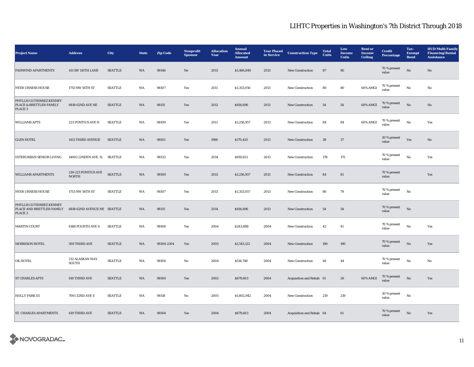| <b>Project Name</b>                                              | <b>Address</b>                      | City           | <b>State</b> | <b>Zip Code</b> | Nonprofit<br><b>Sponsor</b> | <b>Allocation</b><br>Year | <b>Annual</b><br><b>Allocated</b><br><b>Amount</b> | <b>Year Placed</b><br>in Service | <b>Construction Type</b> | <b>Total</b><br>Units | Low<br><b>Income</b><br><b>Units</b> | <b>Rent or</b><br><b>Income</b><br><b>Ceiling</b> | <b>Credit</b><br><b>Percentage</b> | Tax-<br><b>Exempt</b><br><b>Bond</b> | <b>HUD Multi-Family</b><br><b>Financing/Rental</b><br><b>Assistance</b> |
|------------------------------------------------------------------|-------------------------------------|----------------|--------------|-----------------|-----------------------------|---------------------------|----------------------------------------------------|----------------------------------|--------------------------|-----------------------|--------------------------------------|---------------------------------------------------|------------------------------------|--------------------------------------|-------------------------------------------------------------------------|
| <b>FAIRWIND APARTMENTS</b>                                       | <b>411 SW 110TH LANE</b>            | <b>SEATTLE</b> | WA           | 98146           | No                          | 2013                      | \$1,466,849                                        | 2013                             | New Construction         | 87                    | 86                                   |                                                   | 70 % present<br>value              | $\rm\thinspace No$                   | No                                                                      |
| <b>NYER URNESS HOUSE</b>                                         | 1753 NW 56TH ST                     | <b>SEATTLE</b> | WA           | 98107           | Yes                         | 2011                      | \$1,353,056                                        | 2013                             | <b>New Construction</b>  | 80                    | 80                                   | 60% AMGI                                          | 70 % present<br>value              | $\rm No$                             | No                                                                      |
| PHYLLIS GUTIERREZ KENNEY<br>PLACE & BRETTLER FAMILY<br>PLACE 3   | 6818 62ND AVE NE                    | <b>SEATTLE</b> | WA           | 98115           | Yes                         | 2012                      | \$816,696                                          | 2013                             | <b>New Construction</b>  | 54                    | 54                                   | 60% AMGI                                          | 70 % present<br>value              | $\mathbf{N}\mathbf{o}$               | No                                                                      |
| <b>WILLIAMS APTS</b>                                             | 223 PONTIUS AVE N                   | <b>SEATTLE</b> | WA           | 98109           | Yes                         | 2011                      | \$1,256,957                                        | 2013                             | New Construction         | 84                    | 84                                   | 60% AMGI                                          | 70 % present<br>value              | No                                   | Yes                                                                     |
| <b>GLEN HOTEL</b>                                                | 1413 THIRD AVENUE                   | <b>SEATTLE</b> | WA           | 98101           | Yes                         | 1996                      | \$170,425                                          | 2013                             | <b>New Construction</b>  | ${\bf 38}$            | 37                                   |                                                   | 30 % present<br>value              | Yes                                  | No                                                                      |
| <b>INTERURBAN SENIOR LIVING</b>                                  | 14002 LINDEN AVE. N. SEATTLE        |                | WA           | 98133           | Yes                         | 2014                      | \$919,821                                          | 2013                             | <b>New Construction</b>  | 178                   | 175                                  |                                                   | 70 % present<br>value              | $\rm No$                             | Yes                                                                     |
| <b>WILLIAMS APARTMENTS</b>                                       | 219-223 PONTIUS AVE<br><b>NORTH</b> | <b>SEATTLE</b> | WA           | 98109           | Yes                         | 2013                      | \$1,256,957                                        | 2013                             | New Construction         | ${\bf 84}$            | 81                                   |                                                   | 70 % present<br>value              |                                      | Yes                                                                     |
| <b>NYER URNESS HOUSE</b>                                         | 1753 NW 56TH ST                     | <b>SEATTLE</b> | WA           | 98107           | Yes                         | 2013                      | \$1,353,057                                        | 2013                             | New Construction         | 80                    | 79                                   |                                                   | 70 % present<br>value              | $\rm No$                             |                                                                         |
| PHYLLIS GUTIERREZ KENNEY<br>PLACE AND BRETTLER FAMILY<br>PLACE 3 | 6818 62ND AVENUE NE SEATTLE         |                | WA           | 98115           | Yes                         | 2014                      | \$816,696                                          | 2013                             | New Construction         | 54                    | 54                                   |                                                   | 70 % present<br>value              | $\rm No$                             |                                                                         |
| <b>MARTIN COURT</b>                                              | <b>6188 FOURTH AVE S</b>            | <b>SEATTLE</b> | WA           | 98108           | Yes                         | 2004                      | \$243,888                                          | 2004                             | <b>New Construction</b>  | $42\,$                | 41                                   |                                                   | 70 % present<br>value              | $\rm No$                             | Yes                                                                     |
| <b>MORRISON HOTEL</b>                                            | 509 THIRD AVE                       | <b>SEATTLE</b> | WA           | 98104-2304      | Yes                         | 2005                      | \$1,543,122                                        | 2004                             | New Construction         | 190                   | 190                                  |                                                   | 70 % present<br>value              | $\rm No$                             | Yes                                                                     |
| <b>OK HOTEL</b>                                                  | 212 ALASKAN WAY<br><b>SOUTH</b>     | <b>SEATTLE</b> | WA           | 98104           | No                          | 2004                      | \$514,748                                          | 2004                             | <b>New Construction</b>  | 44                    | 44                                   |                                                   | 70 % present<br>value              | $\rm No$                             | No                                                                      |
| <b>ST CHARLES APTS</b>                                           | 619 THIRD AVE                       | <b>SEATTLE</b> | WA           | 98104           | Yes                         | 2002                      | \$679,603                                          | 2004                             | Acquisition and Rehab 61 |                       | 26                                   | 60% AMGI                                          | $70\,\%$ present<br>value          | No                                   | Yes                                                                     |
| <b>HOLLY PARK III</b>                                            | 7001 32ND AVE S                     | <b>SEATTLE</b> | WA           | 98118           | No                          | 2005                      | \$1,802,942                                        | 2004                             | <b>New Construction</b>  | 219                   | 219                                  |                                                   | 30 % present<br>value              | $\rm No$                             |                                                                         |
| <b>ST. CHARLES APARTMENTS</b>                                    | 619 THIRD AVE                       | <b>SEATTLE</b> | WA           | 98104           | Yes                         | 2004                      | \$679,603                                          | 2004                             | Acquisition and Rehab 64 |                       | 61                                   |                                                   | 70 % present<br>value              | No                                   | Yes                                                                     |

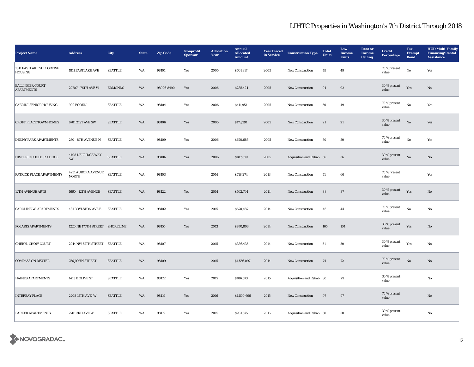| <b>Project Name</b>                         | <b>Address</b>                          | <b>City</b>    | <b>State</b> | <b>Zip Code</b> | Nonprofit<br><b>Sponsor</b> | <b>Allocation</b><br>Year | <b>Annual</b><br><b>Allocated</b><br><b>Amount</b> | <b>Year Placed</b><br>in Service | <b>Construction Type</b> | <b>Total</b><br>Units | Low<br><b>Income</b><br><b>Units</b> | <b>Rent or</b><br><b>Income</b><br><b>Ceiling</b> | <b>Credit</b><br><b>Percentage</b> | Tax-<br>Exempt<br><b>Bond</b> | <b>HUD Multi-Family</b><br><b>Financing/Rental</b><br><b>Assistance</b> |
|---------------------------------------------|-----------------------------------------|----------------|--------------|-----------------|-----------------------------|---------------------------|----------------------------------------------------|----------------------------------|--------------------------|-----------------------|--------------------------------------|---------------------------------------------------|------------------------------------|-------------------------------|-------------------------------------------------------------------------|
| <b>1811 EASTLAKE SUPPORTIVE</b><br>HOUSING  | 1811 EASTLAKE AVE                       | <b>SEATTLE</b> | WA           | 98101           | Yes                         | 2005                      | \$661,317                                          | 2005                             | <b>New Construction</b>  | 49                    | 49                                   |                                                   | 70 % present<br>value              | No                            | Yes                                                                     |
| <b>BALLINGER COURT</b><br><b>APARTMENTS</b> | 22707 - 76TH AVE W                      | <b>EDMONDS</b> | WA           | 98026-8490      | Yes                         | 2006                      | \$235,424                                          | 2005                             | <b>New Construction</b>  | 94                    | 92                                   |                                                   | 30 % present<br>value              | Yes                           | $\mathbf{N}\mathbf{o}$                                                  |
| <b>CABRINI SENIOR HOUSING</b>               | 909 BOREN                               | <b>SEATTLE</b> | WA           | 98104           | Yes                         | 2006                      | \$411,954                                          | 2005                             | <b>New Construction</b>  | 50                    | 49                                   |                                                   | 70 % present<br>value              | No                            | Yes                                                                     |
| <b>CROFT PLACE TOWNHOMES</b>                | 6701 21ST AVE SW                        | <b>SEATTLE</b> | WA           | 98106           | Yes                         | 2005                      | \$173,391                                          | 2005                             | New Construction         | 21                    | 21                                   |                                                   | 30 % present<br>value              | $_{\rm No}$                   | Yes                                                                     |
| <b>DENNY PARK APARTMENTS</b>                | 230 - 8TH AVENUE N                      | <b>SEATTLE</b> | WA           | 98109           | Yes                         | 2006                      | \$670,685                                          | 2005                             | New Construction         | 50                    | ${\bf 50}$                           |                                                   | 70 % present<br>value              | No                            | Yes                                                                     |
| HISTORIC COOPER SCHOOL                      | 4408 DELRIDGE WAY<br>$\text{SW}\xspace$ | <b>SEATTLE</b> | WA           | 98106           | Yes                         | 2006                      | \$187,679                                          | 2005                             | Acquisition and Rehab 36 |                       | $36\,$                               |                                                   | 30 % present<br>value              | No                            | No                                                                      |
| PATRICK PLACE APARTMENTS                    | 4251 AURORA AVENUE<br><b>NORTH</b>      | <b>SEATTLE</b> | WA           | 98103           |                             | 2014                      | \$718,274                                          | 2013                             | New Construction         | 71                    | 66                                   |                                                   | 70 % present<br>value              |                               | Yes                                                                     |
| <b>12TH AVENUE ARTS</b>                     | <b>1660 - 12TH AVENUE</b>               | <b>SEATTLE</b> | WA           | 98122           | Yes                         | 2014                      | \$562,764                                          | 2014                             | <b>New Construction</b>  | 88                    | 87                                   |                                                   | 30 % present<br>value              | Yes                           | No                                                                      |
| <b>CAROLINE W. APARTMENTS</b>               | 431 BOYLSTON AVE E.                     | <b>SEATTLE</b> | WA           | 98102           | Yes                         | 2015                      | \$670,487                                          | 2014                             | <b>New Construction</b>  | 45                    | 44                                   |                                                   | 70 % present<br>value              | No                            | No                                                                      |
| POLARIS APARTMENTS                          | 1220 NE 175TH STREET SHORELINE          |                | WA           | 98155           | Yes                         | 2013                      | \$870,803                                          | 2014                             | New Construction         | 165                   | 164                                  |                                                   | 30 % present<br>value              | Yes                           | No                                                                      |
| <b>CHERYL CHOW COURT</b>                    | 2014 NW 57TH STREET SEATTLE             |                | WA           | 98107           |                             | 2015                      | \$386,435                                          | 2014                             | New Construction         | 51                    | ${\bf 50}$                           |                                                   | 30 % present<br>value              | Yes                           | No                                                                      |
| <b>COMPASS ON DEXTER</b>                    | 756 JOHN STREET                         | <b>SEATTLE</b> | WA           | 98109           |                             | 2015                      | \$1,556,097                                        | 2014                             | New Construction         | 74                    | 72                                   |                                                   | 70 % present<br>value              | $\rm No$                      | $\mathbf{N}\mathbf{o}$                                                  |
| <b>HAINES APARTMENTS</b>                    | 1415 E OLIVE ST                         | <b>SEATTLE</b> | WA           | 98122           | Yes                         | 2015                      | \$186,573                                          | 2015                             | Acquisition and Rehab 30 |                       | 29                                   |                                                   | 30 % present<br>value              |                               | No                                                                      |
| <b>INTERBAY PLACE</b>                       | 2208 15TH AVE. W                        | <b>SEATTLE</b> | WA           | 98119           | Yes                         | 2016                      | \$1,500,696                                        | 2015                             | <b>New Construction</b>  | 97                    | 97                                   |                                                   | 70 % present<br>value              |                               | No                                                                      |
| <b>PARKER APARTMENTS</b>                    | <b>2701 3RD AVE W</b>                   | SEATTLE        | WA           | 98119           | Yes                         | 2015                      | \$281,575                                          | 2015                             | Acquisition and Rehab 50 |                       | 50                                   |                                                   | 30 % present<br>value              |                               | No                                                                      |

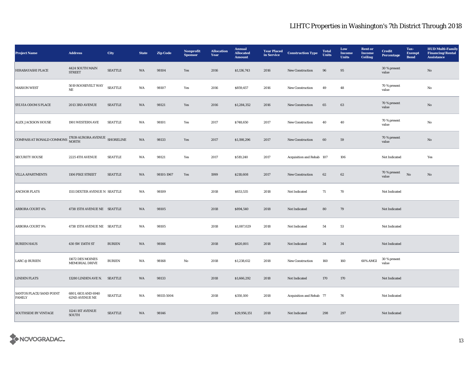| <b>Project Name</b>                                                                   | <b>Address</b>                               | City           | <b>State</b> | <b>Zip Code</b> | Nonprofit<br><b>Sponsor</b> | <b>Allocation</b><br>Year | <b>Annual</b><br><b>Allocated</b><br><b>Amount</b> | <b>Year Placed</b><br>in Service | <b>Construction Type</b>  | <b>Total</b><br>Units | Low<br><b>Income</b><br><b>Units</b> | <b>Rent or</b><br><b>Income</b><br>Ceiling | <b>Credit</b><br>Percentage | Tax-<br><b>Exempt</b><br><b>Bond</b> | <b>HUD Multi-Family</b><br><b>Financing/Rental</b><br><b>Assistance</b> |
|---------------------------------------------------------------------------------------|----------------------------------------------|----------------|--------------|-----------------|-----------------------------|---------------------------|----------------------------------------------------|----------------------------------|---------------------------|-----------------------|--------------------------------------|--------------------------------------------|-----------------------------|--------------------------------------|-------------------------------------------------------------------------|
| <b>HIRABAYASHI PLACE</b>                                                              | 4424 SOUTH MAIN<br><b>STREET</b>             | <b>SEATTLE</b> | WA           | 98104           | Yes                         | 2016                      | \$1,136,743                                        | 2016                             | New Construction          | 96                    | $\bf 95$                             |                                            | 30 % present<br>value       |                                      | No                                                                      |
| <b>MARION WEST</b>                                                                    | 5019 ROOSEVELT WAY<br>$\rm{NE}$              | <b>SEATTLE</b> | WA           | 98107           | Yes                         | 2016                      | \$859,457                                          | 2016                             | <b>New Construction</b>   | 49                    | 48                                   |                                            | 70 % present<br>value       |                                      | No                                                                      |
| <b>SYLVIA ODOM S PLACE</b>                                                            | 2013 3RD AVENUE                              | <b>SEATTLE</b> | WA           | 98121           | Yes                         | 2016                      | \$1,284,352                                        | 2016                             | New Construction          | 65                    | 63                                   |                                            | 70 % present<br>value       |                                      | No                                                                      |
| ALEX JACKSON HOUSE                                                                    | 1901 WESTERN AVE                             | <b>SEATTLE</b> | WA           | 98101           | Yes                         | 2017                      | \$748,650                                          | 2017                             | New Construction          | 40                    | 40                                   |                                            | 70 % present<br>value       |                                      | No                                                                      |
| COMPASS AT RONALD COMMONS $\frac{17839}{\rm NORTH}$ AURORA AVENUE $\,$ SHORELINE $\,$ |                                              |                | WA           | 98133           | Yes                         | 2017                      | \$1,198,296                                        | 2017                             | New Construction          | $60\,$                | 59                                   |                                            | 70 % present<br>value       |                                      | $\mathbf{No}$                                                           |
| <b>SECURITY HOUSE</b>                                                                 | 2225 4TH AVENUE                              | <b>SEATTLE</b> | WA           | 98121           | Yes                         | 2017                      | \$519,240                                          | 2017                             | Acquisition and Rehab 107 |                       | 106                                  |                                            | Not Indicated               |                                      | Yes                                                                     |
| <b>VILLA APARTMENTS</b>                                                               | 1106 PIKE STREET                             | <b>SEATTLE</b> | WA           | 98101-1967      | Yes                         | 1999                      | \$218,608                                          | 2017                             | New Construction          | 62                    | 62                                   |                                            | 70 % present<br>value       | No                                   | No                                                                      |
| <b>ANCHOR FLATS</b>                                                                   | 1511 DEXTER AVENUE N SEATTLE                 |                | WA           | 98109           |                             | 2018                      | \$653,535                                          | 2018                             | Not Indicated             | 71                    | 70                                   |                                            | Not Indicated               |                                      |                                                                         |
| <b>ARBORA COURT 4%</b>                                                                | 4738 15TH AVENUE NE SEATTLE                  |                | WA           | 98105           |                             | 2018                      | \$894,540                                          | 2018                             | Not Indicated             | 80                    | 79                                   |                                            | Not Indicated               |                                      |                                                                         |
| <b>ARBORA COURT 9%</b>                                                                | 4738 15TH AVENUE NE SEATTLE                  |                | WA           | 98105           |                             | 2018                      | \$1,087,029                                        | 2018                             | Not Indicated             | 54                    | 53                                   |                                            | Not Indicated               |                                      |                                                                         |
| <b>BURIEN HAUS</b>                                                                    | 430 SW 154TH ST                              | <b>BURIEN</b>  | WA           | 98166           |                             | 2018                      | \$620,801                                          | 2018                             | Not Indicated             | 34                    | 34                                   |                                            | Not Indicated               |                                      |                                                                         |
| LARC @ BURIEN                                                                         | 11672 DES MOINES<br>MEMORIAL DRIVE           | <b>BURIEN</b>  | WA           | 98168           | $\mathbf{No}$               | 2018                      | \$1,238,612                                        | 2018                             | New Construction          | 160                   | 160                                  | 60% AMGI                                   | 30 % present<br>value       |                                      |                                                                         |
| <b>LINDEN FLATS</b>                                                                   | 13280 LINDEN AVE N. SEATTLE                  |                | WA           | 98133           |                             | 2018                      | \$1,666,292                                        | 2018                             | Not Indicated             | 170                   | 170                                  |                                            | Not Indicated               |                                      |                                                                         |
| <b>SANTOS PLACE/SAND POINT</b><br><b>FAMILY</b>                                       | 6801, 6831 AND 6940<br><b>62ND AVENUE NE</b> | <b>SEATTLE</b> | WA           | 98115-5004      |                             | 2018                      | \$350,100                                          | 2018                             | Acquisition and Rehab 77  |                       | 76                                   |                                            | Not Indicated               |                                      |                                                                         |
| <b>SOUTHSIDE BY VINTAGE</b>                                                           | 11241 IST AVENUE<br><b>SOUTH</b>             | <b>SEATTLE</b> | WA           | 98146           |                             | 2019                      | \$29,956,151                                       | 2018                             | Not Indicated             | 298                   | 297                                  |                                            | Not Indicated               |                                      |                                                                         |